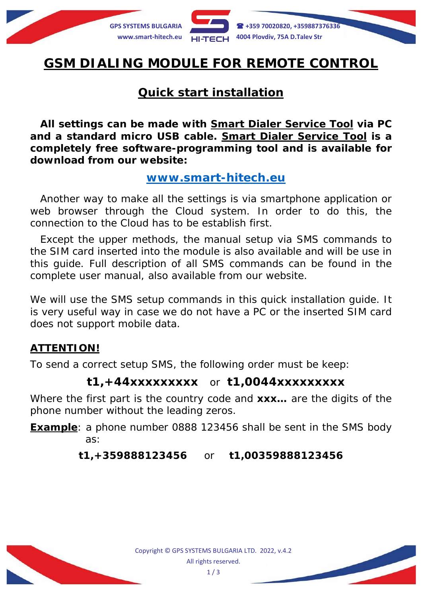

# **GSM DIALING MODULE FOR REMOTE CONTROL**

# **Quick start installation**

**All settings can be made with** *Smart Dialer Service Tool* **via PC and a standard micro USB cable.** *Smart Dialer Service Tool* **is a completely free software-programming tool and is available for download from our website:**

### **[www.smart-hitech.eu](http://www.smart-hitech.eu/)**

Another way to make all the settings is via smartphone application or web browser through the *Cloud* system. In order to do this, the connection to the *Cloud* has to be establish first.

Except the upper methods, the manual setup via SMS commands to the SIM card inserted into the module is also available and will be use in this guide. Full description of all SMS commands can be found in the complete user manual, also available from our website.

We will use the SMS setup commands in this quick installation quide. It is very useful way in case we do not have a PC or the inserted SIM card does not support mobile data.

### **ATTENTION!**

To send a correct setup SMS, the following order must be keep:

### **t1,+44xxxxxxxxx** or **t1,0044xxxxxxxxx**

Where the first part is the country code and **xxx…** are the digits of the phone number without the leading zeros.

**Example**: a phone number 0888 123456 shall be sent in the SMS body as:

#### **t1,+359888123456** or **t1,00359888123456**

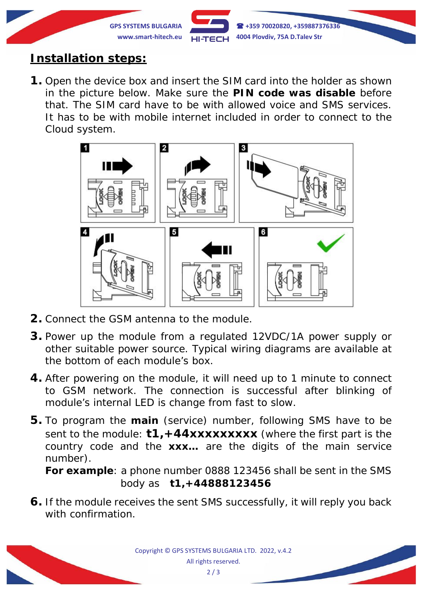

# **Installation steps:**

**1.** Open the device box and insert the SIM card into the holder as shown in the picture below. Make sure the **PIN code was disable** before that. The SIM card have to be with allowed voice and SMS services. It has to be with mobile internet included in order to connect to the *Cloud* system.



- **2.** Connect the GSM antenna to the module.
- **3.** Power up the module from a regulated 12VDC/1A power supply or other suitable power source. Typical wiring diagrams are available at the bottom of each module's box.
- **4.** After powering on the module, it will need up to 1 minute to connect to GSM network. The connection is successful after blinking of module's internal LED is change from fast to slow.
- **5.** To program the **main** (service) number, following SMS have to be sent to the module: **t1,+44xxxxxxxxx** (*where the first part is the country code and the xxx… are the digits of the main service number*).

*For example*: a phone number 0888 123456 shall be sent in the SMS body as **t1,+44888123456**

**6.** If the module receives the sent SMS successfully, it will reply you back with confirmation.

> Copyright © GPS SYSTEMS BULGARIA LTD. 2022, v.4.2 All rights reserved.